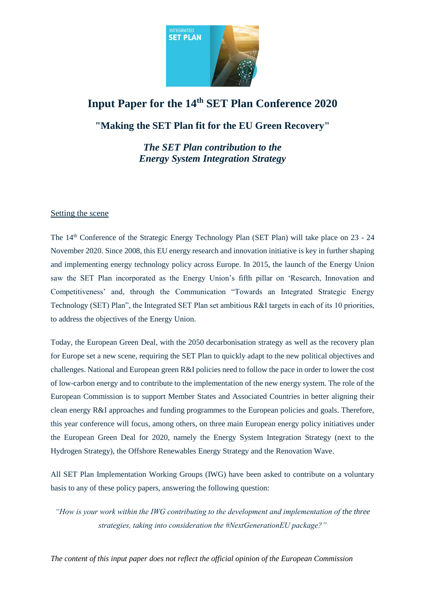

# **Input Paper for the 14th SET Plan Conference 2020**

## **"Making the SET Plan fit for the EU Green Recovery"**

*The SET Plan contribution to the Energy System Integration Strategy* 

### Setting the scene

The 14<sup>th</sup> Conference of the Strategic Energy Technology Plan (SET Plan) will take place on 23 - 24 November 2020. Since 2008, this EU energy research and innovation initiative is key in further shaping and implementing energy technology policy across Europe. In 2015, the launch of the Energy Union saw the SET Plan incorporated as the Energy Union's fifth pillar on 'Research, Innovation and Competitiveness' and, through the Communication "Towards an Integrated Strategic Energy Technology (SET) Plan", the Integrated SET Plan set ambitious R&I targets in each of its 10 priorities, to address the objectives of the Energy Union.

Today, the European Green Deal, with the 2050 decarbonisation strategy as well as the recovery plan for Europe set a new scene, requiring the SET Plan to quickly adapt to the new political objectives and challenges. National and European green R&I policies need to follow the pace in order to lower the cost of low-carbon energy and to contribute to the implementation of the new energy system. The role of the European Commission is to support Member States and Associated Countries in better aligning their clean energy R&I approaches and funding programmes to the European policies and goals. Therefore, this year conference will focus, among others, on three main European energy policy initiatives under the European Green Deal for 2020, namely the Energy System Integration Strategy (next to the Hydrogen Strategy), the Offshore Renewables Energy Strategy and the Renovation Wave.

All SET Plan Implementation Working Groups (IWG) have been asked to contribute on a voluntary basis to any of these policy papers, answering the following question:

*"How is your work within the IWG contributing to the development and implementation of the three strategies, taking into consideration the #NextGenerationEU package?"*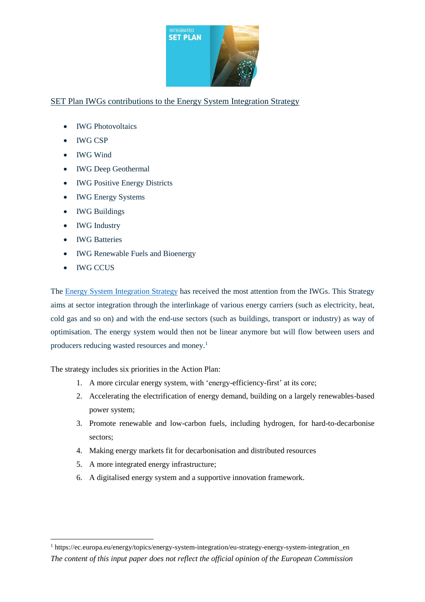

### SET Plan IWGs contributions to the Energy System Integration Strategy

- **IWG Photovoltaics**
- IWG CSP
- IWG Wind
- IWG Deep Geothermal
- IWG Positive Energy Districts
- IWG Energy Systems
- IWG Buildings
- IWG Industry
- IWG Batteries
- IWG Renewable Fuels and Bioenergy
- IWG CCUS

 $\overline{a}$ 

The [Energy System Integration Strategy](https://ec.europa.eu/energy/topics/energy-system-integration/eu-strategy-energy-system-integration_en) has received the most attention from the IWGs. This Strategy aims at sector integration through the interlinkage of various energy carriers (such as electricity, heat, cold gas and so on) and with the end-use sectors (such as buildings, transport or industry) as way of optimisation. The energy system would then not be linear anymore but will flow between users and producers reducing wasted resources and money.<sup>1</sup>

The strategy includes six priorities in the Action Plan:

- 1. A more circular energy system, with 'energy-efficiency-first' at its core;
- 2. Accelerating the electrification of energy demand, building on a largely renewables-based power system;
- 3. Promote renewable and low-carbon fuels, including hydrogen, for hard-to-decarbonise sectors;
- 4. Making energy markets fit for decarbonisation and distributed resources
- 5. A more integrated energy infrastructure;
- 6. A digitalised energy system and a supportive innovation framework.

*The content of this input paper does not reflect the official opinion of the European Commission* <sup>1</sup> https://ec.europa.eu/energy/topics/energy-system-integration/eu-strategy-energy-system-integration\_en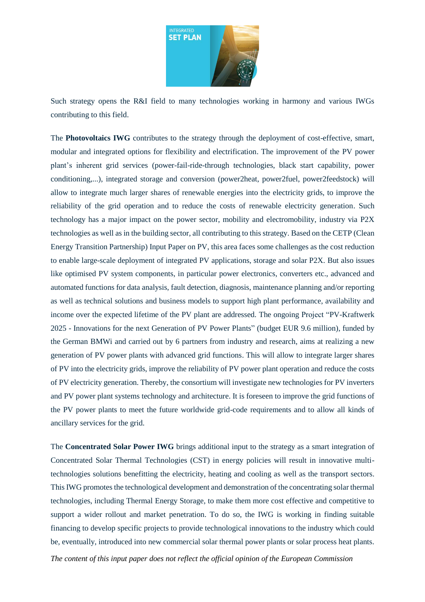

Such strategy opens the R&I field to many technologies working in harmony and various IWGs contributing to this field.

The **Photovoltaics IWG** contributes to the strategy through the deployment of cost-effective, smart, modular and integrated options for flexibility and electrification. The improvement of the PV power plant's inherent grid services (power-fail-ride-through technologies, black start capability, power conditioning,...), integrated storage and conversion (power2heat, power2fuel, power2feedstock) will allow to integrate much larger shares of renewable energies into the electricity grids, to improve the reliability of the grid operation and to reduce the costs of renewable electricity generation. Such technology has a major impact on the power sector, mobility and electromobility, industry via P2X technologies as well as in the building sector, all contributing to this strategy. Based on the CETP (Clean Energy Transition Partnership) Input Paper on PV, this area faces some challenges as the cost reduction to enable large-scale deployment of integrated PV applications, storage and solar P2X. But also issues like optimised PV system components, in particular power electronics, converters etc., advanced and automated functions for data analysis, fault detection, diagnosis, maintenance planning and/or reporting as well as technical solutions and business models to support high plant performance, availability and income over the expected lifetime of the PV plant are addressed. The ongoing Project "PV-Kraftwerk 2025 - Innovations for the next Generation of PV Power Plants" (budget EUR 9.6 million), funded by the German BMWi and carried out by 6 partners from industry and research, aims at realizing a new generation of PV power plants with advanced grid functions. This will allow to integrate larger shares of PV into the electricity grids, improve the reliability of PV power plant operation and reduce the costs of PV electricity generation. Thereby, the consortium will investigate new technologies for PV inverters and PV power plant systems technology and architecture. It is foreseen to improve the grid functions of the PV power plants to meet the future worldwide grid-code requirements and to allow all kinds of ancillary services for the grid.

The **Concentrated Solar Power IWG** brings additional input to the strategy as a smart integration of Concentrated Solar Thermal Technologies (CST) in energy policies will result in innovative multitechnologies solutions benefitting the electricity, heating and cooling as well as the transport sectors. This IWG promotes the technological development and demonstration of the concentrating solar thermal technologies, including Thermal Energy Storage, to make them more cost effective and competitive to support a wider rollout and market penetration. To do so, the IWG is working in finding suitable financing to develop specific projects to provide technological innovations to the industry which could be, eventually, introduced into new commercial solar thermal power plants or solar process heat plants.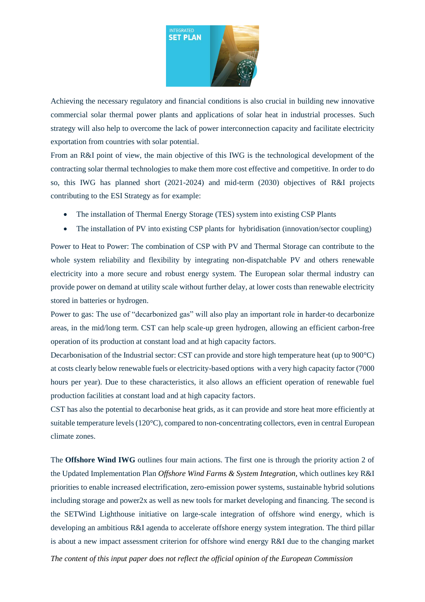

Achieving the necessary regulatory and financial conditions is also crucial in building new innovative commercial solar thermal power plants and applications of solar heat in industrial processes. Such strategy will also help to overcome the lack of power interconnection capacity and facilitate electricity exportation from countries with solar potential.

From an R&I point of view, the main objective of this IWG is the technological development of the contracting solar thermal technologies to make them more cost effective and competitive. In order to do so, this IWG has planned short (2021-2024) and mid-term (2030) objectives of R&I projects contributing to the ESI Strategy as for example:

- The installation of Thermal Energy Storage (TES) system into existing CSP Plants
- The installation of PV into existing CSP plants for hybridisation (innovation/sector coupling)

Power to Heat to Power: The combination of CSP with PV and Thermal Storage can contribute to the whole system reliability and flexibility by integrating non-dispatchable PV and others renewable electricity into a more secure and robust energy system. The European solar thermal industry can provide power on demand at utility scale without further delay, at lower costs than renewable electricity stored in batteries or hydrogen.

Power to gas: The use of "decarbonized gas" will also play an important role in harder-to decarbonize areas, in the mid/long term. CST can help scale-up green hydrogen, allowing an efficient carbon-free operation of its production at constant load and at high capacity factors.

Decarbonisation of the Industrial sector: CST can provide and store high temperature heat (up to 900°C) at costs clearly below renewable fuels or electricity-based options with a very high capacity factor (7000 hours per year). Due to these characteristics, it also allows an efficient operation of renewable fuel production facilities at constant load and at high capacity factors.

CST has also the potential to decarbonise heat grids, as it can provide and store heat more efficiently at suitable temperature levels (120°C), compared to non-concentrating collectors, even in central European climate zones.

The **Offshore Wind IWG** outlines four main actions. The first one is through the priority action 2 of the Updated Implementation Plan *Offshore Wind Farms & System Integration,* which outlines key R&I priorities to enable increased electrification, zero-emission power systems, sustainable hybrid solutions including storage and power2x as well as new tools for market developing and financing. The second is the SETWind Lighthouse initiative on large-scale integration of offshore wind energy, which is developing an ambitious R&I agenda to accelerate offshore energy system integration. The third pillar is about a new impact assessment criterion for offshore wind energy R&I due to the changing market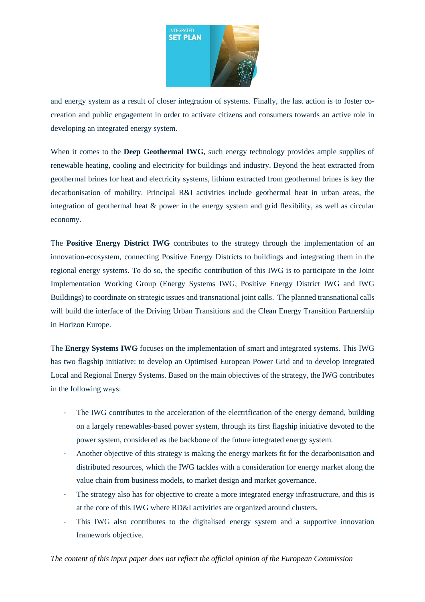

and energy system as a result of closer integration of systems. Finally, the last action is to foster cocreation and public engagement in order to activate citizens and consumers towards an active role in developing an integrated energy system.

When it comes to the **Deep Geothermal IWG**, such energy technology provides ample supplies of renewable heating, cooling and electricity for buildings and industry. Beyond the heat extracted from geothermal brines for heat and electricity systems, lithium extracted from geothermal brines is key the decarbonisation of mobility. Principal R&I activities include geothermal heat in urban areas, the integration of geothermal heat & power in the energy system and grid flexibility, as well as circular economy.

The **Positive Energy District IWG** contributes to the strategy through the implementation of an innovation-ecosystem, connecting Positive Energy Districts to buildings and integrating them in the regional energy systems. To do so, the specific contribution of this IWG is to participate in the Joint Implementation Working Group (Energy Systems IWG, Positive Energy District IWG and IWG Buildings) to coordinate on strategic issues and transnational joint calls. The planned transnational calls will build the interface of the Driving Urban Transitions and the Clean Energy Transition Partnership in Horizon Europe.

The **Energy Systems IWG** focuses on the implementation of smart and integrated systems. This IWG has two flagship initiative: to develop an Optimised European Power Grid and to develop Integrated Local and Regional Energy Systems. Based on the main objectives of the strategy, the IWG contributes in the following ways:

- The IWG contributes to the acceleration of the electrification of the energy demand, building on a largely renewables-based power system, through its first flagship initiative devoted to the power system, considered as the backbone of the future integrated energy system.
- Another objective of this strategy is making the energy markets fit for the decarbonisation and distributed resources, which the IWG tackles with a consideration for energy market along the value chain from business models, to market design and market governance.
- The strategy also has for objective to create a more integrated energy infrastructure, and this is at the core of this IWG where RD&I activities are organized around clusters.
- This IWG also contributes to the digitalised energy system and a supportive innovation framework objective.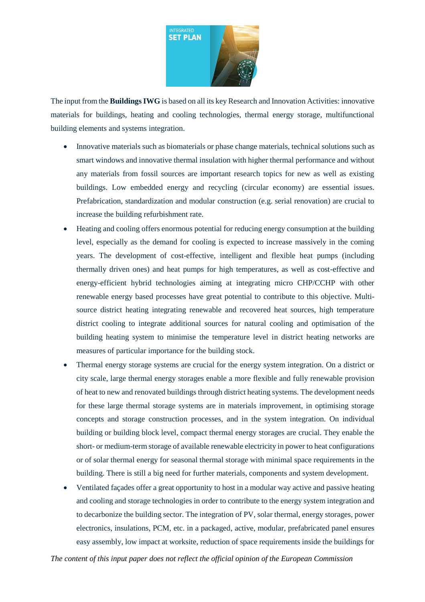

The input from the **Buildings IWG** is based on all its key Research and Innovation Activities: innovative materials for buildings, heating and cooling technologies, thermal energy storage, multifunctional building elements and systems integration.

- Innovative materials such as biomaterials or phase change materials, technical solutions such as smart windows and innovative thermal insulation with higher thermal performance and without any materials from fossil sources are important research topics for new as well as existing buildings. Low embedded energy and recycling (circular economy) are essential issues. Prefabrication, standardization and modular construction (e.g. serial renovation) are crucial to increase the building refurbishment rate.
- Heating and cooling offers enormous potential for reducing energy consumption at the building level, especially as the demand for cooling is expected to increase massively in the coming years. The development of cost-effective, intelligent and flexible heat pumps (including thermally driven ones) and heat pumps for high temperatures, as well as cost-effective and energy-efficient hybrid technologies aiming at integrating micro CHP/CCHP with other renewable energy based processes have great potential to contribute to this objective. Multisource district heating integrating renewable and recovered heat sources, high temperature district cooling to integrate additional sources for natural cooling and optimisation of the building heating system to minimise the temperature level in district heating networks are measures of particular importance for the building stock.
- Thermal energy storage systems are crucial for the energy system integration. On a district or city scale, large thermal energy storages enable a more flexible and fully renewable provision of heat to new and renovated buildings through district heating systems. The development needs for these large thermal storage systems are in materials improvement, in optimising storage concepts and storage construction processes, and in the system integration. On individual building or building block level, compact thermal energy storages are crucial. They enable the short- or medium-term storage of available renewable electricity in power to heat configurations or of solar thermal energy for seasonal thermal storage with minimal space requirements in the building. There is still a big need for further materials, components and system development.
- Ventilated façades offer a great opportunity to host in a modular way active and passive heating and cooling and storage technologies in order to contribute to the energy system integration and to decarbonize the building sector. The integration of PV, solar thermal, energy storages, power electronics, insulations, PCM, etc. in a packaged, active, modular, prefabricated panel ensures easy assembly, low impact at worksite, reduction of space requirements inside the buildings for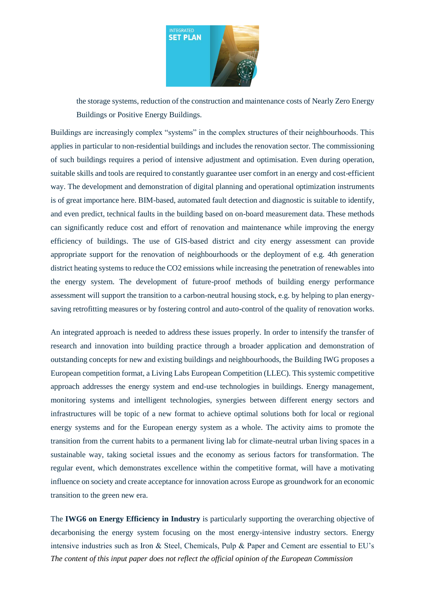

the storage systems, reduction of the construction and maintenance costs of Nearly Zero Energy Buildings or Positive Energy Buildings.

Buildings are increasingly complex "systems" in the complex structures of their neighbourhoods. This applies in particular to non-residential buildings and includes the renovation sector. The commissioning of such buildings requires a period of intensive adjustment and optimisation. Even during operation, suitable skills and tools are required to constantly guarantee user comfort in an energy and cost-efficient way. The development and demonstration of digital planning and operational optimization instruments is of great importance here. BIM-based, automated fault detection and diagnostic is suitable to identify, and even predict, technical faults in the building based on on-board measurement data. These methods can significantly reduce cost and effort of renovation and maintenance while improving the energy efficiency of buildings. The use of GIS-based district and city energy assessment can provide appropriate support for the renovation of neighbourhoods or the deployment of e.g. 4th generation district heating systems to reduce the CO2 emissions while increasing the penetration of renewables into the energy system. The development of future-proof methods of building energy performance assessment will support the transition to a carbon-neutral housing stock, e.g. by helping to plan energysaving retrofitting measures or by fostering control and auto-control of the quality of renovation works.

An integrated approach is needed to address these issues properly. In order to intensify the transfer of research and innovation into building practice through a broader application and demonstration of outstanding concepts for new and existing buildings and neighbourhoods, the Building IWG proposes a European competition format, a Living Labs European Competition (LLEC). This systemic competitive approach addresses the energy system and end-use technologies in buildings. Energy management, monitoring systems and intelligent technologies, synergies between different energy sectors and infrastructures will be topic of a new format to achieve optimal solutions both for local or regional energy systems and for the European energy system as a whole. The activity aims to promote the transition from the current habits to a permanent living lab for climate-neutral urban living spaces in a sustainable way, taking societal issues and the economy as serious factors for transformation. The regular event, which demonstrates excellence within the competitive format, will have a motivating influence on society and create acceptance for innovation across Europe as groundwork for an economic transition to the green new era.

*The content of this input paper does not reflect the official opinion of the European Commission* The **IWG6 on Energy Efficiency in Industry** is particularly supporting the overarching objective of decarbonising the energy system focusing on the most energy-intensive industry sectors. Energy intensive industries such as Iron & Steel, Chemicals, Pulp & Paper and Cement are essential to EU's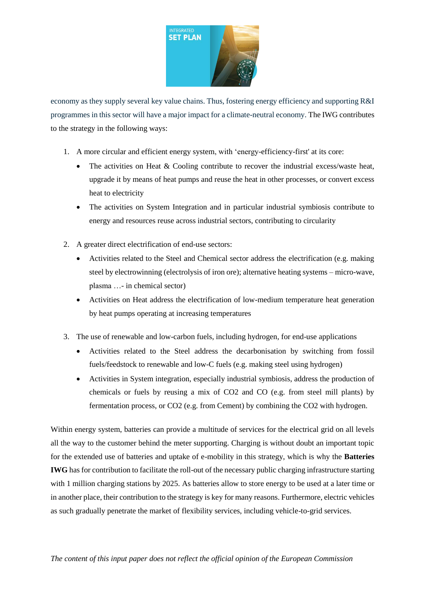

economy as they supply several key value chains. Thus, fostering energy efficiency and supporting R&I programmes in this sector will have a major impact for a climate-neutral economy. The IWG contributes to the strategy in the following ways:

- 1. A more circular and efficient energy system, with 'energy-efficiency-first' at its core:
	- The activities on Heat & Cooling contribute to recover the industrial excess/waste heat, upgrade it by means of heat pumps and reuse the heat in other processes, or convert excess heat to electricity
	- The activities on System Integration and in particular industrial symbiosis contribute to energy and resources reuse across industrial sectors, contributing to circularity
- 2. A greater direct electrification of end-use sectors:
	- Activities related to the Steel and Chemical sector address the electrification (e.g. making steel by electrowinning (electrolysis of iron ore); alternative heating systems – micro-wave, plasma …- in chemical sector)
	- Activities on Heat address the electrification of low-medium temperature heat generation by heat pumps operating at increasing temperatures
- 3. The use of renewable and low-carbon fuels, including hydrogen, for end-use applications
	- Activities related to the Steel address the decarbonisation by switching from fossil fuels/feedstock to renewable and low-C fuels (e.g. making steel using hydrogen)
	- Activities in System integration, especially industrial symbiosis, address the production of chemicals or fuels by reusing a mix of CO2 and CO (e.g. from steel mill plants) by fermentation process, or CO2 (e.g. from Cement) by combining the CO2 with hydrogen.

Within energy system, batteries can provide a multitude of services for the electrical grid on all levels all the way to the customer behind the meter supporting. Charging is without doubt an important topic for the extended use of batteries and uptake of e-mobility in this strategy, which is why the **Batteries IWG** has for contribution to facilitate the roll-out of the necessary public charging infrastructure starting with 1 million charging stations by 2025. As batteries allow to store energy to be used at a later time or in another place, their contribution to the strategy is key for many reasons. Furthermore, electric vehicles as such gradually penetrate the market of flexibility services, including vehicle-to-grid services.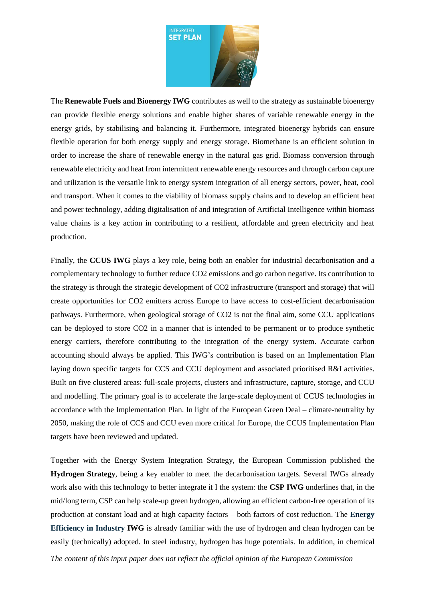

The **Renewable Fuels and Bioenergy IWG** contributes as well to the strategy as sustainable bioenergy can provide flexible energy solutions and enable higher shares of variable renewable energy in the energy grids, by stabilising and balancing it. Furthermore, integrated bioenergy hybrids can ensure flexible operation for both energy supply and energy storage. Biomethane is an efficient solution in order to increase the share of renewable energy in the natural gas grid. Biomass conversion through renewable electricity and heat from intermittent renewable energy resources and through carbon capture and utilization is the versatile link to energy system integration of all energy sectors, power, heat, cool and transport. When it comes to the viability of biomass supply chains and to develop an efficient heat and power technology, adding digitalisation of and integration of Artificial Intelligence within biomass value chains is a key action in contributing to a resilient, affordable and green electricity and heat production.

Finally, the **CCUS IWG** plays a key role, being both an enabler for industrial decarbonisation and a complementary technology to further reduce CO2 emissions and go carbon negative. Its contribution to the strategy is through the strategic development of CO2 infrastructure (transport and storage) that will create opportunities for CO2 emitters across Europe to have access to cost-efficient decarbonisation pathways. Furthermore, when geological storage of CO2 is not the final aim, some CCU applications can be deployed to store CO2 in a manner that is intended to be permanent or to produce synthetic energy carriers, therefore contributing to the integration of the energy system. Accurate carbon accounting should always be applied. This IWG's contribution is based on an Implementation Plan laying down specific targets for CCS and CCU deployment and associated prioritised R&I activities. Built on five clustered areas: full-scale projects, clusters and infrastructure, capture, storage, and CCU and modelling. The primary goal is to accelerate the large-scale deployment of CCUS technologies in accordance with the Implementation Plan. In light of the European Green Deal – climate-neutrality by 2050, making the role of CCS and CCU even more critical for Europe, the CCUS Implementation Plan targets have been reviewed and updated.

Together with the Energy System Integration Strategy, the European Commission published the **Hydrogen Strategy**, being a key enabler to meet the decarbonisation targets. Several IWGs already work also with this technology to better integrate it I the system: the **CSP IWG** underlines that, in the mid/long term, CSP can help scale-up green hydrogen, allowing an efficient carbon-free operation of its production at constant load and at high capacity factors – both factors of cost reduction. The **Energy Efficiency in Industry IWG** is already familiar with the use of hydrogen and clean hydrogen can be easily (technically) adopted. In steel industry, hydrogen has huge potentials. In addition, in chemical